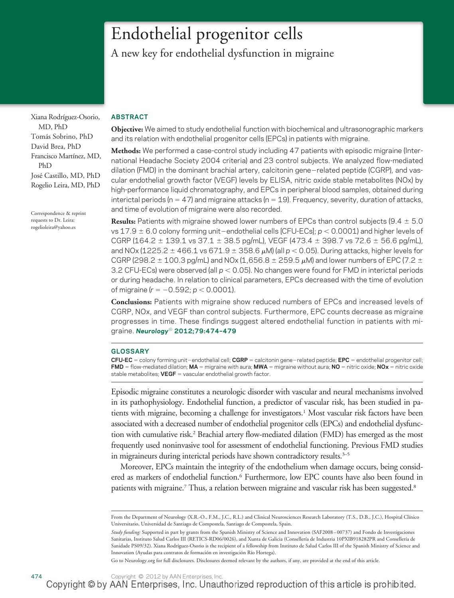# Endothelial progenitor cells

A new key for endothelial dysfunction in migraine

Xiana Rodríguez-Osorio, MD, PhD Tomás Sobrino, PhD David Brea, PhD Francisco Martínez, MD, PhD José Castillo, MD, PhD Rogelio Leira, MD, PhD

Correspondence & reprint requests to Dr. Leira: rogelioleira@yahoo.es

## **ABSTRACT**

**Objective:** We aimed to study endothelial function with biochemical and ultrasonographic markers and its relation with endothelial progenitor cells (EPCs) in patients with migraine.

**Methods:** We performed a case-control study including 47 patients with episodic migraine (International Headache Society 2004 criteria) and 23 control subjects. We analyzed flow-mediated dilation (FMD) in the dominant brachial artery, calcitonin gene-related peptide (CGRP), and vascular endothelial growth factor (VEGF) levels by ELISA, nitric oxide stable metabolites (NOx) by high-performance liquid chromatography, and EPCs in peripheral blood samples, obtained during interictal periods (n = 47) and migraine attacks (n = 19). Frequency, severity, duration of attacks, and time of evolution of migraine were also recorded.

**Results:** Patients with migraine showed lower numbers of EPCs than control subjects (9.4  $\pm$  5.0 vs  $17.9 \pm 6.0$  colony forming unit-endothelial cells [CFU-ECs];  $p < 0.0001$ ) and higher levels of CGRP (164.2  $\pm$  139.1 vs 37.1  $\pm$  38.5 pg/mL), VEGF (473.4  $\pm$  398.7 vs 72.6  $\pm$  56.6 pg/mL), and NOx (1225.2  $\pm$  466.1 vs 671.9  $\pm$  358.6  $\mu$ M) (all  $p$  < 0.05). During attacks, higher levels for CGRP (298.2  $\pm$  100.3 pg/mL) and NOx (1,656.8  $\pm$  259.5  $\mu$ M) and lower numbers of EPC (7.2  $\pm$ 3.2 CFU-ECs) were observed (all  $p < 0.05$ ). No changes were found for FMD in interictal periods or during headache. In relation to clinical parameters, EPCs decreased with the time of evolution of migraine (*r* = -0.592; *p* < 0.0001).

**Conclusions:** Patients with migraine show reduced numbers of EPCs and increased levels of CGRP, NOx, and VEGF than control subjects. Furthermore, EPC counts decrease as migraine progresses in time. These findings suggest altered endothelial function in patients with migraine. *Neurology*® **2012;79:474–479**

### **GLOSSARY**

**CFU-EC** = colony forming unit–endothelial cell; **CGRP** = calcitonin gene–related peptide; **EPC** = endothelial progenitor cell; **FMD** = flow-mediated dilation; **MA** = migraine with aura; **MWA** = migraine without aura; **NO** = nitric oxide; **NOx** = nitric oxide stable metabolites; **VEGF** = vascular endothelial growth factor.

Episodic migraine constitutes a neurologic disorder with vascular and neural mechanisms involved in its pathophysiology. Endothelial function, a predictor of vascular risk, has been studied in patients with migraine, becoming a challenge for investigators.1 Most vascular risk factors have been associated with a decreased number of endothelial progenitor cells (EPCs) and endothelial dysfunction with cumulative risk.2 Brachial artery flow-mediated dilation (FMD) has emerged as the most frequently used noninvasive tool for assessment of endothelial functioning. Previous FMD studies in migraineurs during interictal periods have shown contradictory results.<sup>3-5</sup>

Moreover, EPCs maintain the integrity of the endothelium when damage occurs, being considered as markers of endothelial function.<sup>6</sup> Furthermore, low EPC counts have also been found in patients with migraine.<sup>7</sup> Thus, a relation between migraine and vascular risk has been suggested.<sup>8</sup>

Go to Neurology.org for full disclosures. Disclosures deemed relevant by the authors, if any, are provided at the end of this article.

From the Department of Neurology (X.R.-O., F.M., J.C., R.L.) and Clinical Neurosciences Research Laboratory (T.S., D.B., J.C.), Hospital Clínico Universitario, Universidad de Santiago de Compostela, Santiago de Compostela, Spain.

*Study funding:* Supported in part by grants from the Spanish Ministry of Science and Innovation (SAF2008–00737) and Fondo de Investigaciones Sanitarias, Instituto Salud Carlos III (RETICS-RD06/0026), and Xunta de Galicia (Consellería de Industria 10PXIB918282PR and Consellería de Sanidade PS09/32). Xiana Rodríguez-Osorio is the recipient of a fellowship from Instituto de Salud Carlos III of the Spanish Ministry of Science and Innovation (Ayudas para contratos de formación en investigación Río Hortega).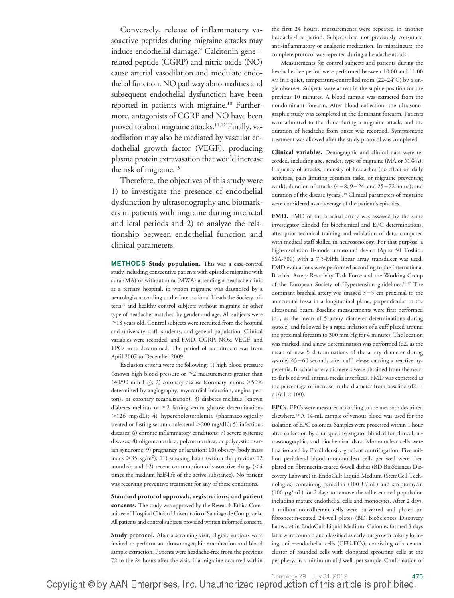Conversely, release of inflammatory vasoactive peptides during migraine attacks may induce endothelial damage.<sup>9</sup> Calcitonin generelated peptide (CGRP) and nitric oxide (NO) cause arterial vasodilation and modulate endothelial function. NO pathway abnormalities and subsequent endothelial dysfunction have been reported in patients with migraine.<sup>10</sup> Furthermore, antagonists of CGRP and NO have been proved to abort migraine attacks.<sup>11,12</sup> Finally, vasodilation may also be mediated by vascular endothelial growth factor (VEGF), producing plasma protein extravasation that would increase the risk of migraine.<sup>13</sup>

Therefore, the objectives of this study were 1) to investigate the presence of endothelial dysfunction by ultrasonography and biomarkers in patients with migraine during interictal and ictal periods and 2) to analyze the relationship between endothelial function and clinical parameters.

**METHODS Study population.** This was a case-control study including consecutive patients with episodic migraine with aura (MA) or without aura (MWA) attending a headache clinic at a tertiary hospital, in whom migraine was diagnosed by a neurologist according to the International Headache Society criteria14 and healthy control subjects without migraine or other type of headache, matched by gender and age. All subjects were  $\geq$  18 years old. Control subjects were recruited from the hospital and university staff, students, and general population. Clinical variables were recorded, and FMD, CGRP, NOx, VEGF, and EPCs were determined. The period of recruitment was from April 2007 to December 2009.

Exclusion criteria were the following: 1) high blood pressure (known high blood pressure or  $\geq$  measurements greater than 140/90 mm Hg); 2) coronary disease (coronary lesions 50% determined by angiography, myocardial infarction, angina pectoris, or coronary recanalization); 3) diabetes mellitus (known diabetes mellitus or  $\geq$ 2 fasting serum glucose determinations 126 mg/dL); 4) hypercholesterolemia (pharmacologically treated or fasting serum cholesterol 200 mg/dL); 5) infectious diseases; 6) chronic inflammatory conditions; 7) severe systemic diseases; 8) oligomenorrhea, polymenorrhea, or polycystic ovarian syndrome; 9) pregnancy or lactation; 10) obesity (body mass index  $>$  35 kg/m<sup>2</sup>); 11) smoking habit (within the previous 12 months); and 12) recent consumption of vasoactive drugs  $(<$  4 times the medium half-life of the active substance). No patient was receiving preventive treatment for any of these conditions.

**Standard protocol approvals, registrations, and patient consents.** The study was approved by the Research Ethics Committee of Hospital Clínico Universitario of Santiago de Compostela. All patients and control subjects provided written informed consent.

**Study protocol.** After a screening visit, eligible subjects were invited to perform an ultrasonographic examination and blood sample extraction. Patients were headache-free from the previous 72 to the 24 hours after the visit. If a migraine occurred within the first 24 hours, measurements were repeated in another headache-free period. Subjects had not previously consumed anti-inflammatory or analgesic medication. In migraineurs, the complete protocol was repeated during a headache attack.

Measurements for control subjects and patients during the headache-free period were performed between 10:00 and 11:00 AM in a quiet, temperature-controlled room (22–24°C) by a single observer. Subjects were at rest in the supine position for the previous 10 minutes. A blood sample was extracted from the nondominant forearm. After blood collection, the ultrasonographic study was completed in the dominant forearm. Patients were admitted to the clinic during a migraine attack, and the duration of headache from onset was recorded. Symptomatic treatment was allowed after the study protocol was completed.

**Clinical variables.** Demographic and clinical data were recorded, including age, gender, type of migraine (MA or MWA), frequency of attacks, intensity of headaches (no effect on daily activities, pain limiting common tasks, or migraine preventing work), duration of attacks  $(4-8, 9-24,$  and  $25-72$  hours), and duration of the disease (years).<sup>15</sup> Clinical parameters of migraine were considered as an average of the patient's episodes.

**FMD.** FMD of the brachial artery was assessed by the same investigator blinded for biochemical and EPC determinations, after prior technical training and validation of data, compared with medical staff skilled in neurosonology. For that purpose, a high-resolution B-mode ultrasound device (Aplio 50 Toshiba SSA-700) with a 7.5-MHz linear array transducer was used. FMD evaluations were performed according to the International Brachial Artery Reactivity Task Force and the Working Group of the European Society of Hypertension guidelines.<sup>16,17</sup> The dominant brachial artery was imaged  $3-5$  cm proximal to the antecubital fossa in a longitudinal plane, perpendicular to the ultrasound beam. Baseline measurements were first performed (d1, as the mean of 5 artery diameter determinations during systole) and followed by a rapid inflation of a cuff placed around the proximal forearm to 300 mm Hg for 4 minutes. The location was marked, and a new determination was performed (d2, as the mean of new 5 determinations of the artery diameter during systole)  $45-60$  seconds after cuff release causing a reactive hyperemia. Brachial artery diameters were obtained from the nearto-far blood wall intima-media interfaces. FMD was expressed as the percentage of increase in the diameter from baseline (d2  $d1/d1 \times 100$ ).

**EPCs.** EPCs were measured according to the methods described elsewhere.18 A 14-mL sample of venous blood was used for the isolation of EPC colonies. Samples were processed within 1 hour after collection by a unique investigator blinded for clinical, ultrasonographic, and biochemical data. Mononuclear cells were first isolated by Ficoll density gradient centrifugation. Five million peripheral blood mononuclear cells per well were then plated on fibronectin-coated 6-well dishes (BD BioSciences Discovery Labware) in EndoCult Liquid Medium (StemCell Technologies) containing penicillin (100 U/mL) and streptomycin (100  $\mu$ g/mL) for 2 days to remove the adherent cell population including mature endothelial cells and monocytes. After 2 days, 1 million nonadherent cells were harvested and plated on fibronectin-coated 24-well plates (BD BioSciences Discovery Labware) in EndoCult Liquid Medium. Colonies formed 3 days later were counted and classified as early outgrowth colony forming unit-endothelial cells (CFU-ECs), consisting of a central cluster of rounded cells with elongated sprouting cells at the periphery, in a minimum of 3 wells per sample. Confirmation of

Aeurology 79 July 31, 2012<br>Copyright © by AAN Enterprises, Inc. Unauthorized reproduction of this article is prohibited.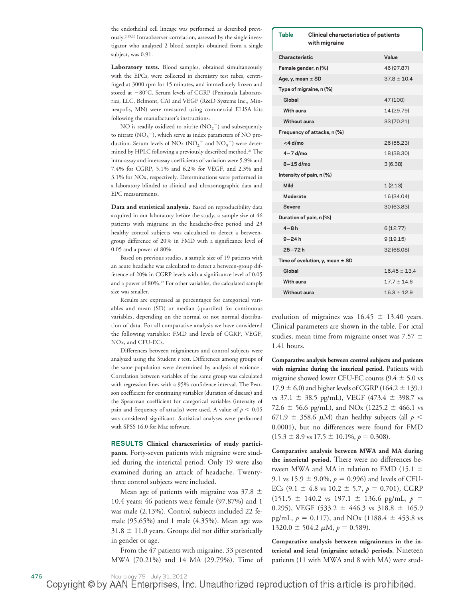the endothelial cell lineage was performed as described previously.2,19,20 Intraobserver correlation, assessed by the single investigator who analyzed 2 blood samples obtained from a single subject, was 0.91.

**Laboratory tests.** Blood samples, obtained simultaneously with the EPCs, were collected in chemistry test tubes, centrifuged at 3000 rpm for 15 minutes, and immediately frozen and stored at  $-80^{\circ}$ C. Serum levels of CGRP (Peninsula Laboratories, LLC, Belmont, CA) and VEGF (R&D Systems Inc., Minneapolis, MN) were measured using commercial ELISA kits following the manufacturer's instructions.

NO is readily oxidized to nitrite  $(\text{NO}_2^{-})$  and subsequently to nitrate  $(\text{NO}_3^-)$ , which serve as index parameters of NO production. Serum levels of NO<sub>x</sub> (NO<sub>2</sub><sup>-</sup> and NO<sub>3</sub><sup>-</sup>) were determined by HPLC following a previously described method.21 The intra-assay and interassay coefficients of variation were 5.9% and 7.4% for CGRP, 5.1% and 6.2% for VEGF, and 2.3% and 3.1% for NOx, respectively. Determinations were performed in a laboratory blinded to clinical and ultrasonographic data and EPC measurements.

**Data and statistical analysis.** Based on reproducibility data acquired in our laboratory before the study, a sample size of 46 patients with migraine in the headache-free period and 23 healthy control subjects was calculated to detect a betweengroup difference of 20% in FMD with a significance level of 0.05 and a power of 80%.

Based on previous studies, a sample size of 19 patients with an acute headache was calculated to detect a between-group difference of 20% in CGRP levels with a significance level of 0.05 and a power of 80%.22 For other variables, the calculated sample size was smaller.

Results are expressed as percentages for categorical variables and mean (SD) or median (quartiles) for continuous variables, depending on the normal or not normal distribution of data. For all comparative analysis we have considered the following variables: FMD and levels of CGRP, VEGF, NOx, and CFU-ECs.

Differences between migraineurs and control subjects were analyzed using the Student *t* test. Differences among groups of the same population were determined by analysis of variance . Correlation between variables of the same group was calculated with regression lines with a 95% confidence interval. The Pearson coefficient for continuing variables (duration of disease) and the Spearman coefficient for categorical variables (intensity of pain and frequency of attacks) were used. A value of  $p < 0.05$ was considered significant. Statistical analyses were performed with SPSS 16.0 for Mac software.

**RESULTS Clinical characteristics of study participants.** Forty-seven patients with migraine were studied during the interictal period. Only 19 were also examined during an attack of headache. Twentythree control subjects were included.

Mean age of patients with migraine was  $37.8 \pm$ 10.4 years; 46 patients were female (97.87%) and 1 was male (2.13%). Control subjects included 22 female (95.65%) and 1 male (4.35%). Mean age was  $31.8 \pm 11.0$  years. Groups did not differ statistically in gender or age.

From the 47 patients with migraine, 33 presented MWA (70.21%) and 14 MA (29.79%). Time of

| <b>Table</b><br>Clinical characteristics of patients<br>with migraine |  |                  |
|-----------------------------------------------------------------------|--|------------------|
| Characteristic                                                        |  | Value            |
| Female gender, n (%)                                                  |  | 46 (97.87)       |
| Age, y, mean $\pm$ SD                                                 |  | $37.8 \pm 10.4$  |
| Type of migraine, n (%)                                               |  |                  |
| Global                                                                |  | 47 (100)         |
| With aura                                                             |  | 14 (29.79)       |
| Without aura                                                          |  | 33 (70.21)       |
| Frequency of attacks, n (%)                                           |  |                  |
| <4 d/mo                                                               |  | 26 (55.23)       |
| $4 - 7$ d/mo                                                          |  | 18 (38.30)       |
| $8-15$ d/mo                                                           |  | 3(6.38)          |
| Intensity of pain, n (%)                                              |  |                  |
| Mild                                                                  |  | 1(2.13)          |
| Moderate                                                              |  | 16 (34.04)       |
| Severe                                                                |  | 30 (63.83)       |
| Duration of pain, n (%)                                               |  |                  |
| $4-8h$                                                                |  | 6(12.77)         |
| $9 - 24h$                                                             |  | 9(19.15)         |
| $25 - 72h$                                                            |  | 32 (68.08)       |
| Time of evolution, y, mean $\pm$ SD                                   |  |                  |
| Global                                                                |  | $16.45 \pm 13.4$ |
| With aura                                                             |  | $17.7 \pm 14.6$  |
| <b>Without aura</b>                                                   |  | $16.3 \pm 12.9$  |

evolution of migraines was  $16.45 \pm 13.40$  years. Clinical parameters are shown in the table. For ictal studies, mean time from migraine onset was 7.57  $\pm$ 1.41 hours.

**Comparative analysis between control subjects and patients with migraine during the interictal period.** Patients with migraine showed lower CFU-EC counts  $(9.4 \pm 5.0 \text{ vs }$  $17.9 \pm 6.0$ ) and higher levels of CGRP (164.2  $\pm$  139.1 vs  $37.1 \pm 38.5$  pg/mL), VEGF (473.4  $\pm$  398.7 vs 72.6  $\pm$  56.6 pg/mL), and NOx (1225.2  $\pm$  466.1 vs 671.9  $\pm$  358.6  $\mu$ M) than healthy subjects (all  $p \leq$ 0.0001), but no differences were found for FMD  $(15.3 \pm 8.9 \text{ vs } 17.5 \pm 10.1\%, p = 0.308).$ 

**Comparative analysis between MWA and MA during the interictal period.** There were no differences between MWA and MA in relation to FMD (15.1  $\pm$ 9.1 vs 15.9  $\pm$  9.0%,  $p = 0.996$ ) and levels of CFU-ECs  $(9.1 \pm 4.8 \text{ vs } 10.2 \pm 5.7, p = 0.701)$ , CGRP  $(151.5 \pm 140.2 \text{ vs } 197.1 \pm 136.6 \text{ pg/mL}, p =$ 0.295), VEGF (533.2  $\pm$  446.3 vs 318.8  $\pm$  165.9 pg/mL,  $p = 0.117$ ), and NOx (1188.4  $\pm$  453.8 vs  $1320.0 \pm 504.2 \mu M, p = 0.589$ .

**Comparative analysis between migraineurs in the interictal and ictal (migraine attack) periods.** Nineteen patients (11 with MWA and 8 with MA) were stud-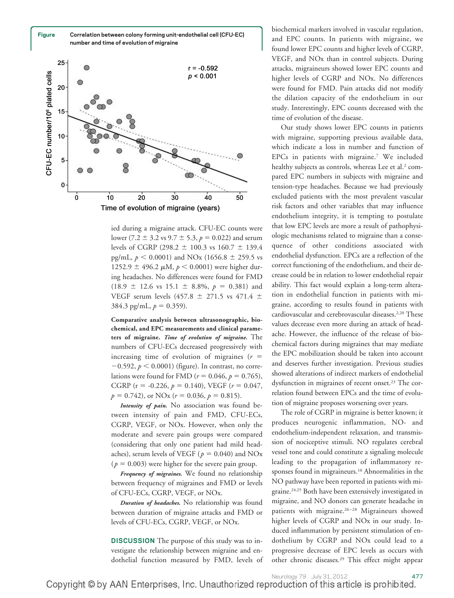**Figure Correlation between colony forming unit-endothelial cell (CFU-EC) number and time of evolution of migraine**



ied during a migraine attack. CFU-EC counts were lower (7.2  $\pm$  3.2 vs 9.7  $\pm$  5.3,  $p = 0.022$ ) and serum levels of CGRP (298.2  $\pm$  100.3 vs 160.7  $\pm$  139.4 pg/mL,  $p < 0.0001$ ) and NOx (1656.8  $\pm$  259.5 vs  $1252.9 \pm 496.2 \mu M$ ,  $p < 0.0001$ ) were higher during headaches. No differences were found for FMD  $(18.9 \pm 12.6 \text{ vs } 15.1 \pm 8.8\%, p = 0.381)$  and VEGF serum levels (457.8  $\pm$  271.5 vs 471.4  $\pm$  $384.3$  pg/mL,  $p = 0.359$ ).

**Comparative analysis between ultrasonographic, biochemical, and EPC measurements and clinical parameters of migraine.** *Time of evolution of migraine.* The numbers of CFU-ECs decreased progressively with increasing time of evolution of migraines  $(r =$  $-0.592$ ,  $p < 0.0001$ ) (figure). In contrast, no correlations were found for FMD ( $r = 0.046$ ,  $p = 0.765$ ), CGRP ( $r = -0.226$ ,  $p = 0.140$ ), VEGF ( $r = 0.047$ ,  $p = 0.742$ , or NOx ( $r = 0.036$ ,  $p = 0.815$ ).

*Intensity of pain.* No association was found between intensity of pain and FMD, CFU-ECs, CGRP, VEGF, or NOx. However, when only the moderate and severe pain groups were compared (considering that only one patient had mild headaches), serum levels of VEGF ( $p = 0.040$ ) and NOx  $(p = 0.003)$  were higher for the severe pain group.

*Frequency of migraines.* We found no relationship between frequency of migraines and FMD or levels of CFU-ECs, CGRP, VEGF, or NOx.

*Duration of headaches.* No relationship was found between duration of migraine attacks and FMD or levels of CFU-ECs, CGRP, VEGF, or NOx.

**DISCUSSION** The purpose of this study was to investigate the relationship between migraine and endothelial function measured by FMD, levels of

biochemical markers involved in vascular regulation, and EPC counts. In patients with migraine, we found lower EPC counts and higher levels of CGRP, VEGF, and NOx than in control subjects. During attacks, migraineurs showed lower EPC counts and higher levels of CGRP and NOx. No differences were found for FMD. Pain attacks did not modify the dilation capacity of the endothelium in our study. Interestingly, EPC counts decreased with the time of evolution of the disease.

Our study shows lower EPC counts in patients with migraine, supporting previous available data, which indicate a loss in number and function of EPCs in patients with migraine.7 We included healthy subjects as controls, whereas Lee et al.<sup>2</sup> compared EPC numbers in subjects with migraine and tension-type headaches. Because we had previously excluded patients with the most prevalent vascular risk factors and other variables that may influence endothelium integrity, it is tempting to postulate that low EPC levels are more a result of pathophysiologic mechanisms related to migraine than a consequence of other conditions associated with endothelial dysfunction. EPCs are a reflection of the correct functioning of the endothelium, and their decrease could be in relation to lower endothelial repair ability. This fact would explain a long-term alteration in endothelial function in patients with migraine, according to results found in patients with cardiovascular and cerebrovascular diseases.<sup>2,20</sup> These values decrease even more during an attack of headache. However, the influence of the release of biochemical factors during migraines that may mediate the EPC mobilization should be taken into account and deserves further investigation. Previous studies showed alterations of indirect markers of endothelial dysfunction in migraines of recent onset.<sup>23</sup> The correlation found between EPCs and the time of evolution of migraine proposes worsening over years.

The role of CGRP in migraine is better known; it produces neurogenic inflammation, NO- and endothelium-independent relaxation, and transmission of nociceptive stimuli. NO regulates cerebral vessel tone and could constitute a signaling molecule leading to the propagation of inflammatory responses found in migraineurs.<sup>10</sup> Abnormalities in the NO pathway have been reported in patients with migraine.24,25 Both have been extensively investigated in migraine, and NO donors can generate headache in patients with migraine.26–28 Migraineurs showed higher levels of CGRP and NOx in our study. Induced inflammation by persistent stimulation of endothelium by CGRP and NOx could lead to a progressive decrease of EPC levels as occurs with other chronic diseases.29 This effect might appear

Neurology 79 July 31, 2012 477 Copyright © by AAN Enterprises, Inc. Unauthorized reproduction of this article is prohibited.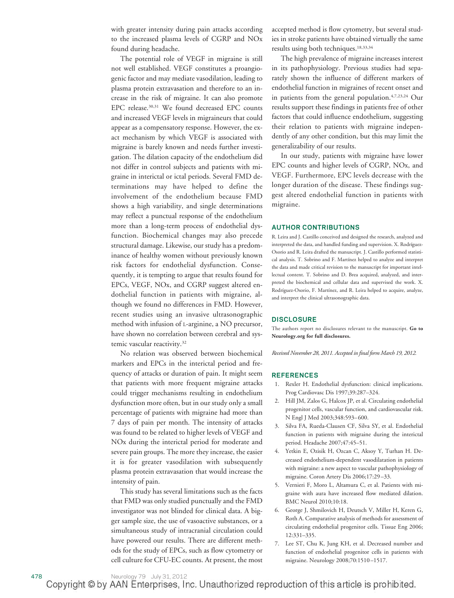with greater intensity during pain attacks according to the increased plasma levels of CGRP and NOx found during headache.

The potential role of VEGF in migraine is still not well established. VEGF constitutes a proangiogenic factor and may mediate vasodilation, leading to plasma protein extravasation and therefore to an increase in the risk of migraine. It can also promote EPC release.<sup>30,31</sup> We found decreased EPC counts and increased VEGF levels in migraineurs that could appear as a compensatory response. However, the exact mechanism by which VEGF is associated with migraine is barely known and needs further investigation. The dilation capacity of the endothelium did not differ in control subjects and patients with migraine in interictal or ictal periods. Several FMD determinations may have helped to define the involvement of the endothelium because FMD shows a high variability, and single determinations may reflect a punctual response of the endothelium more than a long-term process of endothelial dysfunction. Biochemical changes may also precede structural damage. Likewise, our study has a predominance of healthy women without previously known risk factors for endothelial dysfunction. Consequently, it is tempting to argue that results found for EPCs, VEGF, NOx, and CGRP suggest altered endothelial function in patients with migraine, although we found no differences in FMD. However, recent studies using an invasive ultrasonographic method with infusion of L-arginine, a NO precursor, have shown no correlation between cerebral and systemic vascular reactivity.<sup>32</sup>

No relation was observed between biochemical markers and EPCs in the interictal period and frequency of attacks or duration of pain. It might seem that patients with more frequent migraine attacks could trigger mechanisms resulting in endothelium dysfunction more often, but in our study only a small percentage of patients with migraine had more than 7 days of pain per month. The intensity of attacks was found to be related to higher levels of VEGF and NOx during the interictal period for moderate and severe pain groups. The more they increase, the easier it is for greater vasodilation with subsequently plasma protein extravasation that would increase the intensity of pain.

This study has several limitations such as the facts that FMD was only studied punctually and the FMD investigator was not blinded for clinical data. A bigger sample size, the use of vasoactive substances, or a simultaneous study of intracranial circulation could have powered our results. There are different methods for the study of EPCs, such as flow cytometry or cell culture for CFU-EC counts. At present, the most accepted method is flow cytometry, but several studies in stroke patients have obtained virtually the same results using both techniques.<sup>18,33,34</sup>

The high prevalence of migraine increases interest in its pathophysiology. Previous studies had separately shown the influence of different markers of endothelial function in migraines of recent onset and in patients from the general population.4,7,23,24 Our results support these findings in patients free of other factors that could influence endothelium, suggesting their relation to patients with migraine independently of any other condition, but this may limit the generalizability of our results.

In our study, patients with migraine have lower EPC counts and higher levels of CGRP, NOx, and VEGF. Furthermore, EPC levels decrease with the longer duration of the disease. These findings suggest altered endothelial function in patients with migraine.

#### **AUTHOR CONTRIBUTIONS**

R. Leira and J. Castillo conceived and designed the research, analyzed and interpreted the data, and handled funding and supervision. X. Rodríguez-Osorio and R. Leira drafted the manuscript. J. Castillo performed statistical analysis. T. Sobrino and F. Martínez helped to analyze and interpret the data and made critical revision to the manuscript for important intellectual content. T. Sobrino and D. Brea acquired, analyzed, and interpreted the biochemical and cellular data and supervised the work. X. Rodríguez-Osorio, F. Martínez, and R. Leira helped to acquire, analyze, and interpret the clinical ultrasonographic data.

#### **DISCLOSURE**

The authors report no disclosures relevant to the manuscript. **Go to Neurology.org for full disclosures.**

*Received November 28, 2011. Accepted in final form March 19, 2012.*

#### **REFERENCES**

- 1. Rexler H. Endothelial dysfunction: clinical implications. Prog Cardiovasc Dis 1997;39:287–324.
- 2. Hill JM, Zalos G, Halcox JP, et al. Circulating endothelial progenitor cells, vascular function, and cardiovascular risk. N Engl J Med 2003;348:593–600.
- 3. Silva FA, Rueda-Clausen CF, Silva SY, et al. Endothelial function in patients with migraine during the interictal period. Headache 2007;47:45–51.
- 4. Yetkin E, Ozisik H, Ozcan C, Aksoy Y, Turhan H. Decreased endothelium-dependent vasodilatation in patients with migraine: a new aspect to vascular pathophysiology of migraine. Coron Artery Dis 2006;17:29–33.
- 5. Vernieri F, Moro L, Altamura C, et al. Patients with migraine with aura have increased flow mediated dilation. BMC Neurol 2010;10:18.
- 6. George J, Shmilovich H, Deutsch V, Miller H, Keren G, Roth A. Comparative analysis of methods for assessment of circulating endothelial progenitor cells. Tissue Eng 2006; 12:331–335.
- 7. Lee ST, Chu K, Jung KH, et al. Decreased number and function of endothelial progenitor cells in patients with migraine. Neurology 2008;70:1510–1517.